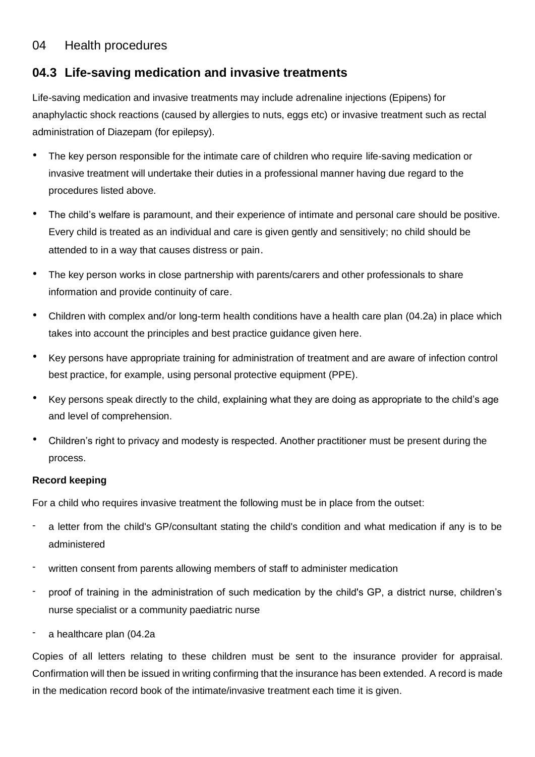# 04 Health procedures

# **04.3 Life-saving medication and invasive treatments**

Life-saving medication and invasive treatments may include adrenaline injections (Epipens) for anaphylactic shock reactions (caused by allergies to nuts, eggs etc) or invasive treatment such as rectal administration of Diazepam (for epilepsy).

- The key person responsible for the intimate care of children who require life-saving medication or invasive treatment will undertake their duties in a professional manner having due regard to the procedures listed above.
- The child's welfare is paramount, and their experience of intimate and personal care should be positive. Every child is treated as an individual and care is given gently and sensitively; no child should be attended to in a way that causes distress or pain.
- The key person works in close partnership with parents/carers and other professionals to share information and provide continuity of care.
- Children with complex and/or long-term health conditions have a health care plan (04.2a) in place which takes into account the principles and best practice guidance given here.
- Key persons have appropriate training for administration of treatment and are aware of infection control best practice, for example, using personal protective equipment (PPE).
- Key persons speak directly to the child, explaining what they are doing as appropriate to the child's age and level of comprehension.
- Children's right to privacy and modesty is respected. Another practitioner must be present during the process.

### **Record keeping**

For a child who requires invasive treatment the following must be in place from the outset:

- a letter from the child's GP/consultant stating the child's condition and what medication if any is to be administered
- written consent from parents allowing members of staff to administer medication
- proof of training in the administration of such medication by the child's GP, a district nurse, children's nurse specialist or a community paediatric nurse
- a healthcare plan (04.2a

Copies of all letters relating to these children must be sent to the insurance provider for appraisal. Confirmation will then be issued in writing confirming that the insurance has been extended. A record is made in the medication record book of the intimate/invasive treatment each time it is given.